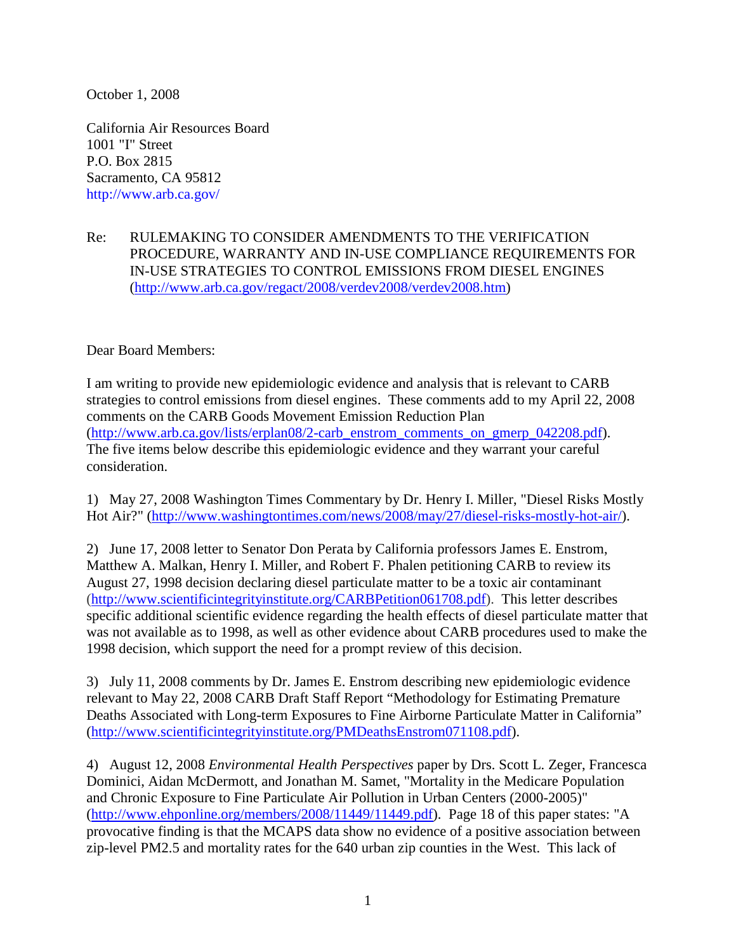October 1, 2008

California Air Resources Board 1001 "I" Street P.O. Box 2815 Sacramento, CA 95812 http://www.arb.ca.gov/

Re: RULEMAKING TO CONSIDER AMENDMENTS TO THE VERIFICATION PROCEDURE, WARRANTY AND IN-USE COMPLIANCE REQUIREMENTS FOR IN-USE STRATEGIES TO CONTROL EMISSIONS FROM DIESEL ENGINES (http://www.arb.ca.gov/regact/2008/verdev2008/verdev2008.htm)

Dear Board Members:

I am writing to provide new epidemiologic evidence and analysis that is relevant to CARB strategies to control emissions from diesel engines. These comments add to my April 22, 2008 comments on the CARB Goods Movement Emission Reduction Plan (http://www.arb.ca.gov/lists/erplan08/2-carb\_enstrom\_comments\_on\_gmerp\_042208.pdf). The five items below describe this epidemiologic evidence and they warrant your careful consideration.

1) May 27, 2008 Washington Times Commentary by Dr. Henry I. Miller, "Diesel Risks Mostly Hot Air?" (http://www.washingtontimes.com/news/2008/may/27/diesel-risks-mostly-hot-air/).

2) June 17, 2008 letter to Senator Don Perata by California professors James E. Enstrom, Matthew A. Malkan, Henry I. Miller, and Robert F. Phalen petitioning CARB to review its August 27, 1998 decision declaring diesel particulate matter to be a toxic air contaminant (http://www.scientificintegrityinstitute.org/CARBPetition061708.pdf). This letter describes specific additional scientific evidence regarding the health effects of diesel particulate matter that was not available as to 1998, as well as other evidence about CARB procedures used to make the 1998 decision, which support the need for a prompt review of this decision.

3) July 11, 2008 comments by Dr. James E. Enstrom describing new epidemiologic evidence relevant to May 22, 2008 CARB Draft Staff Report "Methodology for Estimating Premature Deaths Associated with Long-term Exposures to Fine Airborne Particulate Matter in California" (http://www.scientificintegrityinstitute.org/PMDeathsEnstrom071108.pdf).

4) August 12, 2008 *Environmental Health Perspectives* paper by Drs. Scott L. Zeger, Francesca Dominici, Aidan McDermott, and Jonathan M. Samet, "Mortality in the Medicare Population and Chronic Exposure to Fine Particulate Air Pollution in Urban Centers (2000-2005)" (http://www.ehponline.org/members/2008/11449/11449.pdf). Page 18 of this paper states: "A provocative finding is that the MCAPS data show no evidence of a positive association between zip-level PM2.5 and mortality rates for the 640 urban zip counties in the West. This lack of